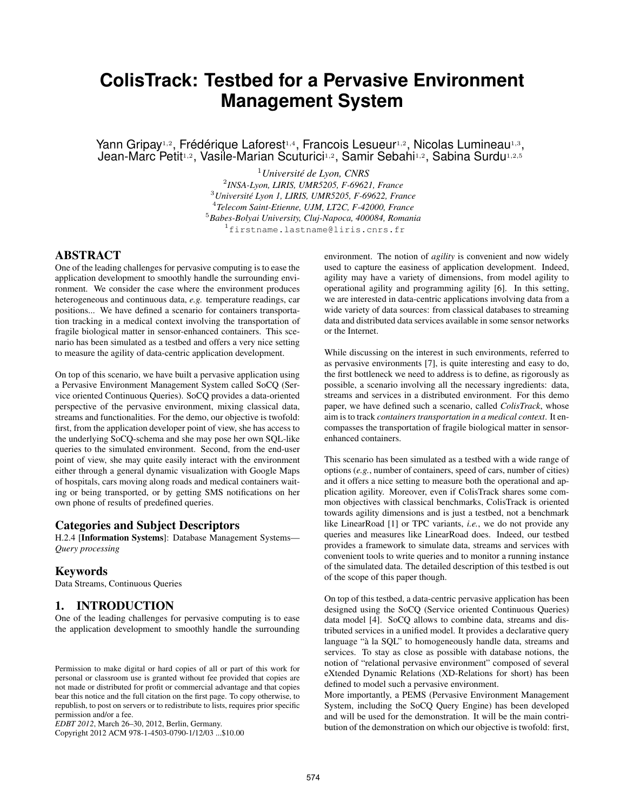# **ColisTrack: Testbed for a Pervasive Environment Management System**

Yann Gripay<sup>1,2</sup>, Frédérique Laforest<sup>1,4</sup>, Francois Lesueur<sup>1,2</sup>, Nicolas Lumineau<sup>1,3</sup>, Jean-Marc Petit1,2, Vasile-Marian Scuturici1,2, Samir Sebahi1,2, Sabina Surdu1,2,5

> *Université de Lyon, CNRS INSA-Lyon, LIRIS, UMR5205, F-69621, France Université Lyon 1, LIRIS, UMR5205, F-69622, France Telecom Saint-Etienne, UJM, LT2C, F-42000, France Babes-Bolyai University, Cluj-Napoca, 400084, Romania* firstname.lastname@liris.cnrs.fr

## ABSTRACT

One of the leading challenges for pervasive computing is to ease the application development to smoothly handle the surrounding environment. We consider the case where the environment produces heterogeneous and continuous data, *e.g.* temperature readings, car positions... We have defined a scenario for containers transportation tracking in a medical context involving the transportation of fragile biological matter in sensor-enhanced containers. This scenario has been simulated as a testbed and offers a very nice setting to measure the agility of data-centric application development.

On top of this scenario, we have built a pervasive application using a Pervasive Environment Management System called SoCQ (Service oriented Continuous Queries). SoCQ provides a data-oriented perspective of the pervasive environment, mixing classical data, streams and functionalities. For the demo, our objective is twofold: first, from the application developer point of view, she has access to the underlying SoCQ-schema and she may pose her own SQL-like queries to the simulated environment. Second, from the end-user point of view, she may quite easily interact with the environment either through a general dynamic visualization with Google Maps of hospitals, cars moving along roads and medical containers waiting or being transported, or by getting SMS notifications on her own phone of results of predefined queries.

#### Categories and Subject Descriptors

H.2.4 [Information Systems]: Database Management Systems— *Query processing*

#### Keywords

Data Streams, Continuous Queries

## 1. INTRODUCTION

One of the leading challenges for pervasive computing is to ease the application development to smoothly handle the surrounding

Copyright 2012 ACM 978-1-4503-0790-1/12/03 ...\$10.00

environment. The notion of *agility* is convenient and now widely used to capture the easiness of application development. Indeed, agility may have a variety of dimensions, from model agility to operational agility and programming agility [6]. In this setting, we are interested in data-centric applications involving data from a wide variety of data sources: from classical databases to streaming data and distributed data services available in some sensor networks or the Internet.

While discussing on the interest in such environments, referred to as pervasive environments [7], is quite interesting and easy to do, the first bottleneck we need to address is to define, as rigorously as possible, a scenario involving all the necessary ingredients: data, streams and services in a distributed environment. For this demo paper, we have defined such a scenario, called *ColisTrack*, whose aim is to track *containers transportation in a medical context*. It encompasses the transportation of fragile biological matter in sensorenhanced containers.

This scenario has been simulated as a testbed with a wide range of options (*e.g.*, number of containers, speed of cars, number of cities) and it offers a nice setting to measure both the operational and application agility. Moreover, even if ColisTrack shares some common objectives with classical benchmarks, ColisTrack is oriented towards agility dimensions and is just a testbed, not a benchmark like LinearRoad [1] or TPC variants, *i.e.*, we do not provide any queries and measures like LinearRoad does. Indeed, our testbed provides a framework to simulate data, streams and services with convenient tools to write queries and to monitor a running instance of the simulated data. The detailed description of this testbed is out of the scope of this paper though.

On top of this testbed, a data-centric pervasive application has been designed using the SoCQ (Service oriented Continuous Queries) data model [4]. SoCQ allows to combine data, streams and distributed services in a unified model. It provides a declarative query language "à la SQL" to homogeneously handle data, streams and services. To stay as close as possible with database notions, the notion of "relational pervasive environment" composed of several eXtended Dynamic Relations (XD-Relations for short) has been defined to model such a pervasive environment.

More importantly, a PEMS (Pervasive Environment Management System, including the SoCQ Query Engine) has been developed and will be used for the demonstration. It will be the main contribution of the demonstration on which our objective is twofold: first,

Permission to make digital or hard copies of all or part of this work for personal or classroom use is granted without fee provided that copies are not made or distributed for profit or commercial advantage and that copies bear this notice and the full citation on the first page. To copy otherwise, to republish, to post on servers or to redistribute to lists, requires prior specific permission and/or a fee.

*EDBT 2012*, March 26–30, 2012, Berlin, Germany.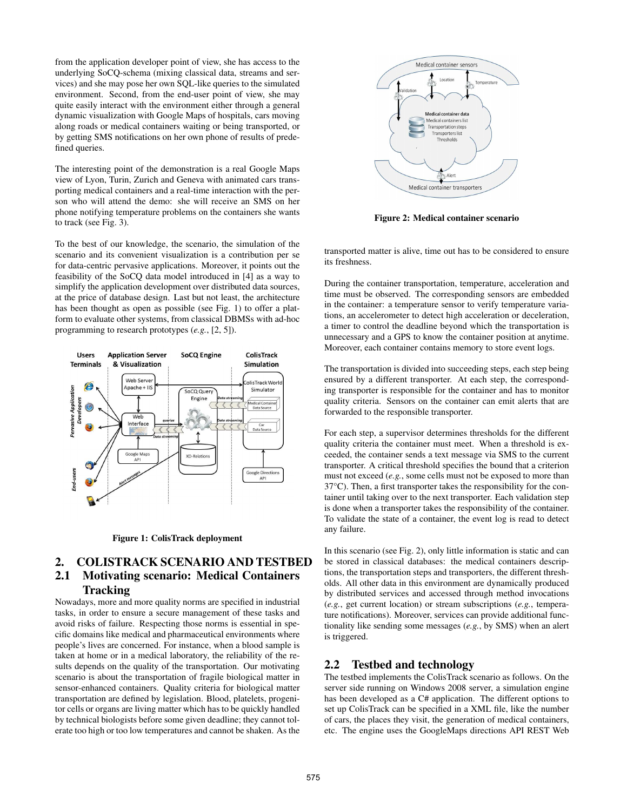from the application developer point of view, she has access to the underlying SoCQ-schema (mixing classical data, streams and services) and she may pose her own SQL-like queries to the simulated environment. Second, from the end-user point of view, she may quite easily interact with the environment either through a general dynamic visualization with Google Maps of hospitals, cars moving along roads or medical containers waiting or being transported, or by getting SMS notifications on her own phone of results of predefined queries.

The interesting point of the demonstration is a real Google Maps view of Lyon, Turin, Zurich and Geneva with animated cars transporting medical containers and a real-time interaction with the person who will attend the demo: she will receive an SMS on her phone notifying temperature problems on the containers she wants to track (see Fig. 3).

To the best of our knowledge, the scenario, the simulation of the scenario and its convenient visualization is a contribution per se for data-centric pervasive applications. Moreover, it points out the feasibility of the SoCQ data model introduced in [4] as a way to simplify the application development over distributed data sources, at the price of database design. Last but not least, the architecture has been thought as open as possible (see Fig. 1) to offer a platform to evaluate other systems, from classical DBMSs with ad-hoc programming to research prototypes (*e.g.*, [2, 5]).





# 2. COLISTRACK SCENARIO AND TESTBED 2.1 Motivating scenario: Medical Containers **Tracking**

Nowadays, more and more quality norms are specified in industrial tasks, in order to ensure a secure management of these tasks and avoid risks of failure. Respecting those norms is essential in specific domains like medical and pharmaceutical environments where people's lives are concerned. For instance, when a blood sample is taken at home or in a medical laboratory, the reliability of the results depends on the quality of the transportation. Our motivating scenario is about the transportation of fragile biological matter in sensor-enhanced containers. Quality criteria for biological matter transportation are defined by legislation. Blood, platelets, progenitor cells or organs are living matter which has to be quickly handled by technical biologists before some given deadline; they cannot tolerate too high or too low temperatures and cannot be shaken. As the



Figure 2: Medical container scenario

transported matter is alive, time out has to be considered to ensure its freshness.

During the container transportation, temperature, acceleration and time must be observed. The corresponding sensors are embedded in the container: a temperature sensor to verify temperature variations, an accelerometer to detect high acceleration or deceleration, a timer to control the deadline beyond which the transportation is unnecessary and a GPS to know the container position at anytime. Moreover, each container contains memory to store event logs.

The transportation is divided into succeeding steps, each step being ensured by a different transporter. At each step, the corresponding transporter is responsible for the container and has to monitor quality criteria. Sensors on the container can emit alerts that are forwarded to the responsible transporter.

For each step, a supervisor determines thresholds for the different quality criteria the container must meet. When a threshold is exceeded, the container sends a text message via SMS to the current transporter. A critical threshold specifies the bound that a criterion must not exceed (*e.g.*, some cells must not be exposed to more than 37°C). Then, a first transporter takes the responsibility for the container until taking over to the next transporter. Each validation step is done when a transporter takes the responsibility of the container. To validate the state of a container, the event log is read to detect any failure.

In this scenario (see Fig. 2), only little information is static and can be stored in classical databases: the medical containers descriptions, the transportation steps and transporters, the different thresholds. All other data in this environment are dynamically produced by distributed services and accessed through method invocations (*e.g.*, get current location) or stream subscriptions (*e.g.*, temperature notifications). Moreover, services can provide additional functionality like sending some messages (*e.g.*, by SMS) when an alert is triggered.

#### 2.2 Testbed and technology

The testbed implements the ColisTrack scenario as follows. On the server side running on Windows 2008 server, a simulation engine has been developed as a C# application. The different options to set up ColisTrack can be specified in a XML file, like the number of cars, the places they visit, the generation of medical containers, etc. The engine uses the GoogleMaps directions API REST Web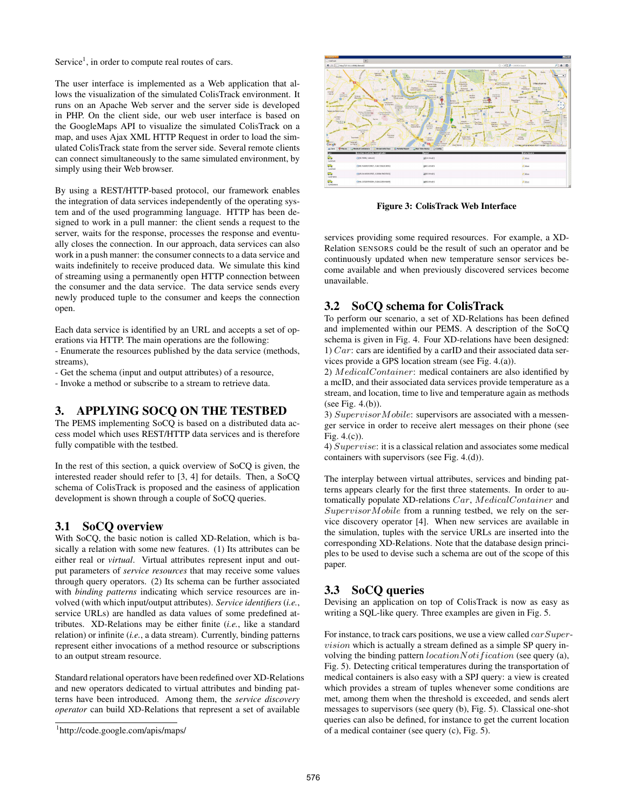Service<sup>1</sup>, in order to compute real routes of cars.

The user interface is implemented as a Web application that allows the visualization of the simulated ColisTrack environment. It runs on an Apache Web server and the server side is developed in PHP. On the client side, our web user interface is based on the GoogleMaps API to visualize the simulated ColisTrack on a map, and uses Ajax XML HTTP Request in order to load the simulated ColisTrack state from the server side. Several remote clients can connect simultaneously to the same simulated environment, by simply using their Web browser.

By using a REST/HTTP-based protocol, our framework enables the integration of data services independently of the operating system and of the used programming language. HTTP has been designed to work in a pull manner: the client sends a request to the server, waits for the response, processes the response and eventually closes the connection. In our approach, data services can also work in a push manner: the consumer connects to a data service and waits indefinitely to receive produced data. We simulate this kind of streaming using a permanently open HTTP connection between the consumer and the data service. The data service sends every newly produced tuple to the consumer and keeps the connection open.

Each data service is identified by an URL and accepts a set of operations via HTTP. The main operations are the following:

- Enumerate the resources published by the data service (methods, streams),

- Get the schema (input and output attributes) of a resource,

- Invoke a method or subscribe to a stream to retrieve data.

# 3. APPLYING SOCQ ON THE TESTBED

The PEMS implementing SoCQ is based on a distributed data access model which uses REST/HTTP data services and is therefore fully compatible with the testbed.

In the rest of this section, a quick overview of SoCQ is given, the interested reader should refer to [3, 4] for details. Then, a SoCQ schema of ColisTrack is proposed and the easiness of application development is shown through a couple of SoCQ queries.

#### 3.1 SoCQ overview

With SoCQ, the basic notion is called XD-Relation, which is basically a relation with some new features. (1) Its attributes can be either real or *virtual*. Virtual attributes represent input and output parameters of *service resources* that may receive some values through query operators. (2) Its schema can be further associated with *binding patterns* indicating which service resources are involved (with which input/output attributes). *Service identifiers* (*i.e.*, service URLs) are handled as data values of some predefined attributes. XD-Relations may be either finite (*i.e.*, like a standard relation) or infinite (*i.e.*, a data stream). Currently, binding patterns represent either invocations of a method resource or subscriptions to an output stream resource.

Standard relational operators have been redefined over XD-Relations and new operators dedicated to virtual attributes and binding patterns have been introduced. Among them, the *service discovery operator* can build XD-Relations that represent a set of available



Figure 3: ColisTrack Web Interface

services providing some required resources. For example, a XD-Relation SENSORS could be the result of such an operator and be continuously updated when new temperature sensor services become available and when previously discovered services become unavailable.

#### 3.2 SoCQ schema for ColisTrack

To perform our scenario, a set of XD-Relations has been defined and implemented within our PEMS. A description of the SoCQ schema is given in Fig. 4. Four XD-relations have been designed: 1) Car: cars are identified by a carID and their associated data services provide a GPS location stream (see Fig. 4.(a)).

2) MedicalContainer: medical containers are also identified by a mcID, and their associated data services provide temperature as a stream, and location, time to live and temperature again as methods (see Fig. 4.(b)).

3) SupervisorMobile: supervisors are associated with a messenger service in order to receive alert messages on their phone (see Fig. 4.(c)).

4) Supervise: it is a classical relation and associates some medical containers with supervisors (see Fig. 4.(d)).

The interplay between virtual attributes, services and binding patterns appears clearly for the first three statements. In order to automatically populate XD-relations Car, MedicalContainer and SupervisorMobile from a running testbed, we rely on the service discovery operator [4]. When new services are available in the simulation, tuples with the service URLs are inserted into the corresponding XD-Relations. Note that the database design principles to be used to devise such a schema are out of the scope of this paper.

# 3.3 SoCQ queries

Devising an application on top of ColisTrack is now as easy as writing a SQL-like query. Three examples are given in Fig. 5.

For instance, to track cars positions, we use a view called *carSuper*vision which is actually a stream defined as a simple SP query involving the binding pattern  $locationNotification$  (see query (a), Fig. 5). Detecting critical temperatures during the transportation of medical containers is also easy with a SPJ query: a view is created which provides a stream of tuples whenever some conditions are met, among them when the threshold is exceeded, and sends alert messages to supervisors (see query (b), Fig. 5). Classical one-shot queries can also be defined, for instance to get the current location of a medical container (see query (c), Fig. 5).

<sup>1</sup> http://code.google.com/apis/maps/